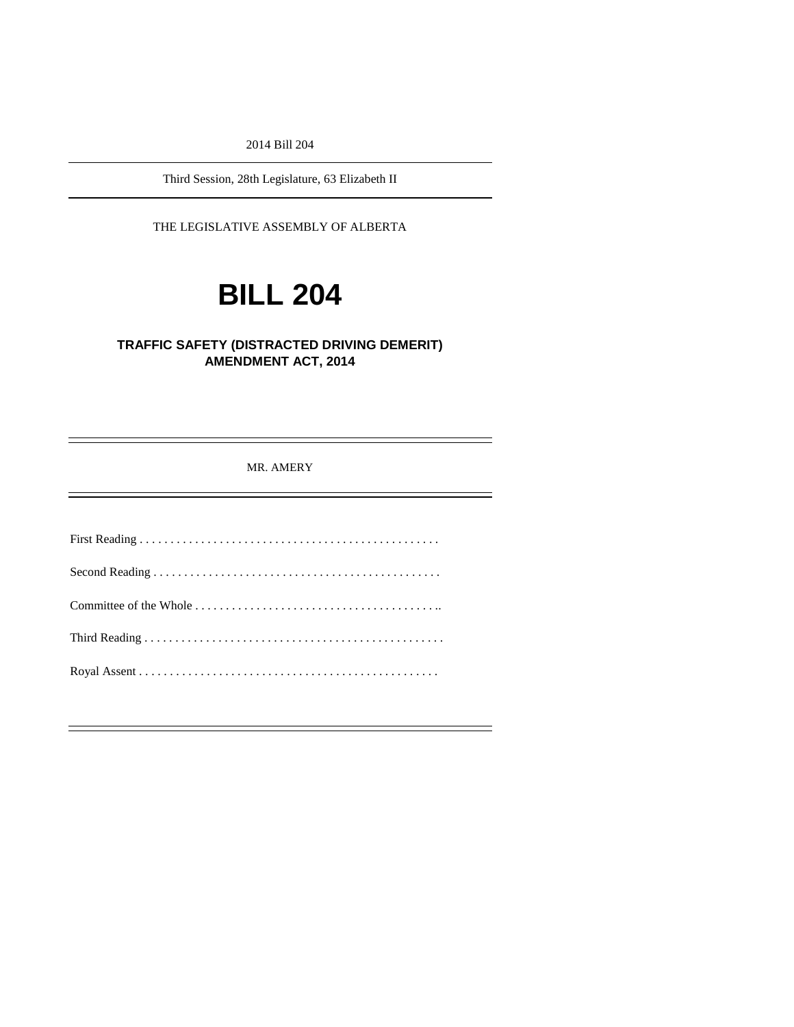2014 Bill 204

Third Session, 28th Legislature, 63 Elizabeth II

THE LEGISLATIVE ASSEMBLY OF ALBERTA

# **BILL 204**

#### **TRAFFIC SAFETY (DISTRACTED DRIVING DEMERIT) AMENDMENT ACT, 2014**

MR. AMERY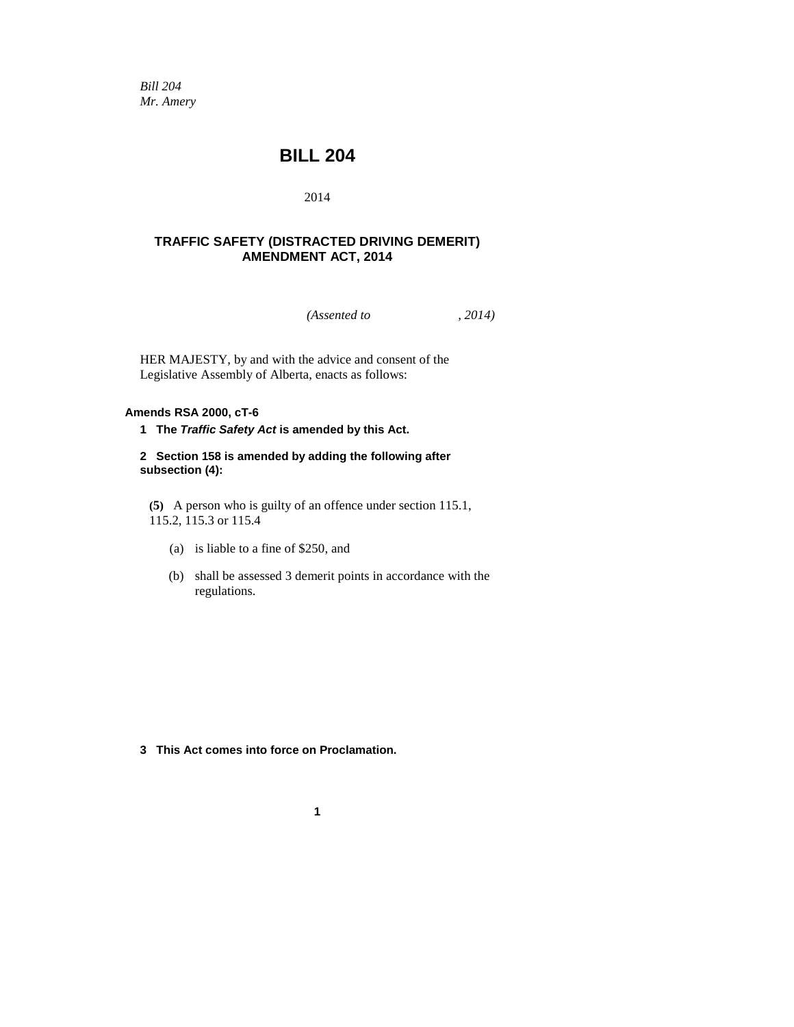*Bill 204 Mr. Amery*

### **BILL 204**

#### 2014

#### **TRAFFIC SAFETY (DISTRACTED DRIVING DEMERIT) AMENDMENT ACT, 2014**

*(Assented to , 2014)* 

HER MAJESTY, by and with the advice and consent of the Legislative Assembly of Alberta, enacts as follows:

#### **Amends RSA 2000, cT-6**

**1 The** *Traffic Safety Act* **is amended by this Act.**

#### **2 Section 158 is amended by adding the following after subsection (4):**

**(5)** A person who is guilty of an offence under section 115.1, 115.2, 115.3 or 115.4

- (a) is liable to a fine of \$250, and
- (b) shall be assessed 3 demerit points in accordance with the regulations.

**3 This Act comes into force on Proclamation.**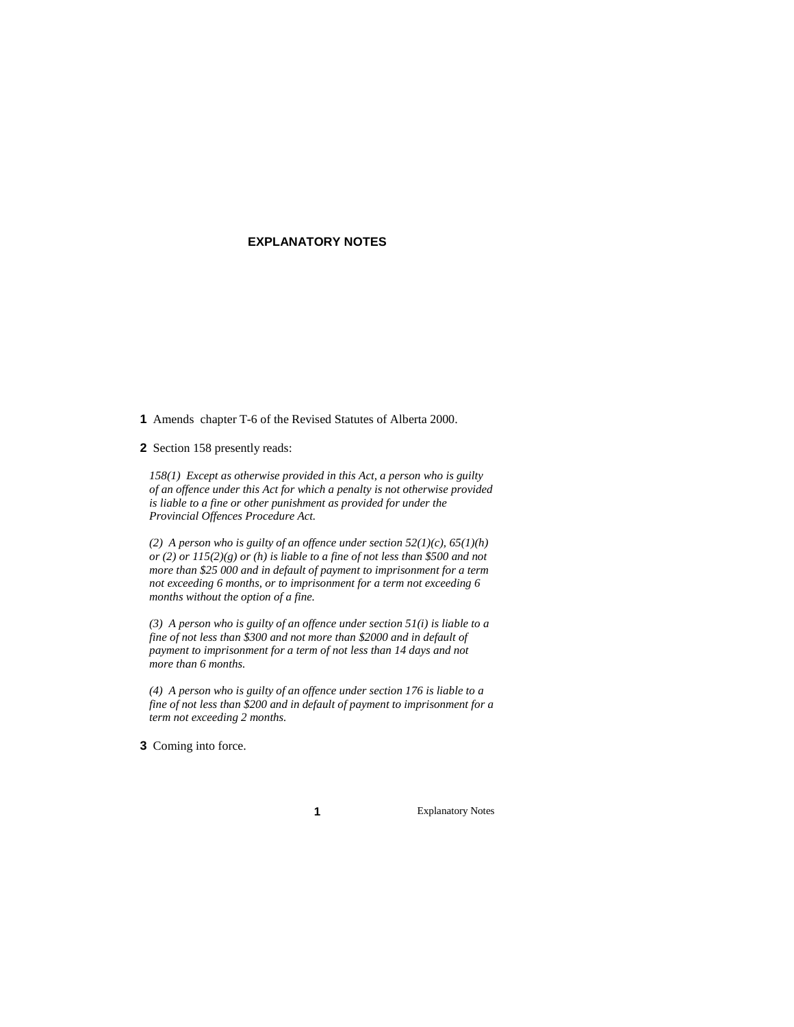#### **EXPLANATORY NOTES**

**1** Amends chapter T-6 of the Revised Statutes of Alberta 2000.

**2** Section 158 presently reads:

*158(1) Except as otherwise provided in this Act, a person who is guilty of an offence under this Act for which a penalty is not otherwise provided is liable to a fine or other punishment as provided for under the Provincial Offences Procedure Act.*

*(2) A person who is guilty of an offence under section 52(1)(c), 65(1)(h) or (2) or 115(2)(g) or (h) is liable to a fine of not less than \$500 and not more than \$25 000 and in default of payment to imprisonment for a term not exceeding 6 months, or to imprisonment for a term not exceeding 6 months without the option of a fine.*

*(3) A person who is guilty of an offence under section 51(i) is liable to a fine of not less than \$300 and not more than \$2000 and in default of payment to imprisonment for a term of not less than 14 days and not more than 6 months.*

*(4) A person who is guilty of an offence under section 176 is liable to a fine of not less than \$200 and in default of payment to imprisonment for a term not exceeding 2 months.*

**3** Coming into force.